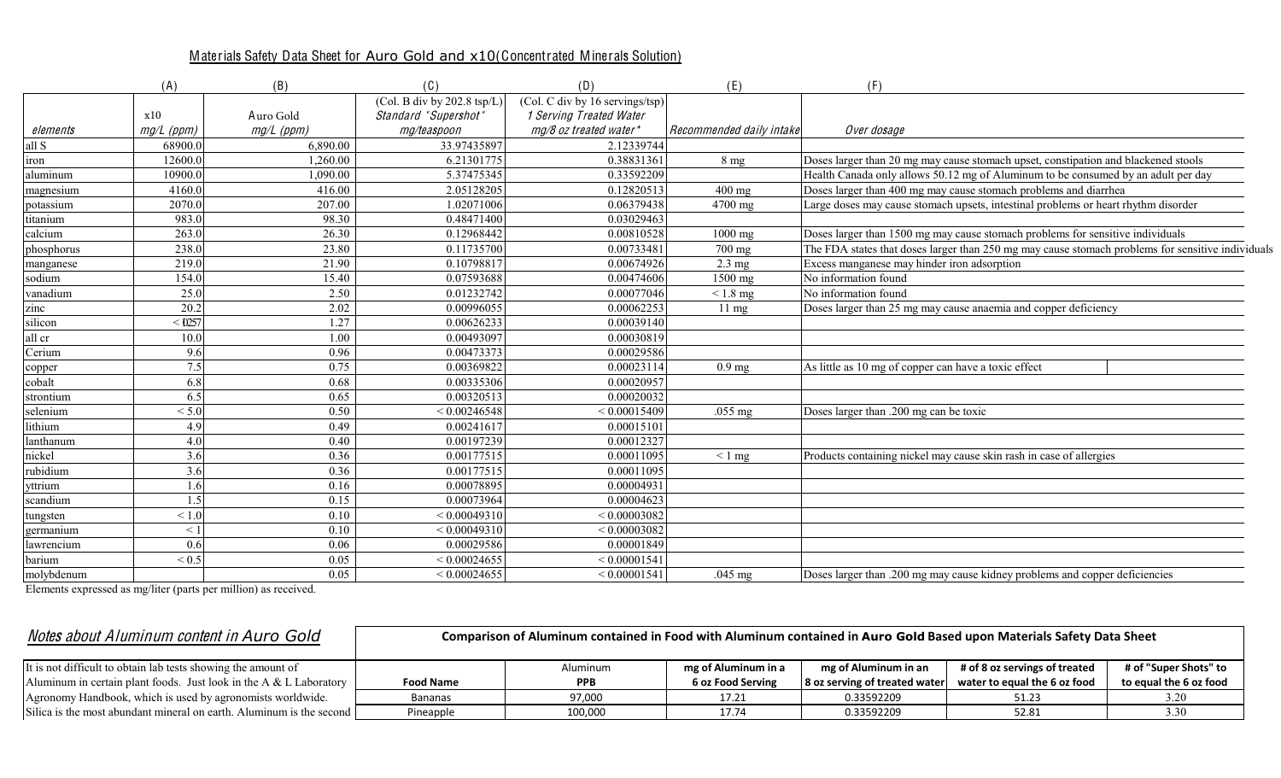## Materials Safety Data Sheet for Auro Gold and x10(Concentrated Minerals Solution)

|            | (A)          | (B)        | (C)                                    | (D)                             | (E)                      | (F)                                                                                               |
|------------|--------------|------------|----------------------------------------|---------------------------------|--------------------------|---------------------------------------------------------------------------------------------------|
|            |              |            | (Col. B div by $202.8 \text{ tsp/L}$ ) | (Col. C div by 16 servings/tsp) |                          |                                                                                                   |
|            | x10          | Auro Gold  | Standard "Supershot"                   | 1 Serving Treated Water         |                          |                                                                                                   |
| elements   | $mg/L$ (ppm) | mg/L (ppm) | mg/teaspoon                            | mg/8 oz treated water*          | Recommended daily intake | Over dosage                                                                                       |
| all S      | 68900.0      | 6,890.00   | 33.97435897                            | 2.12339744                      |                          |                                                                                                   |
| iron       | 12600.0      | 1,260.00   | 6.21301775                             | 0.38831361                      | 8 <sub>mg</sub>          | Doses larger than 20 mg may cause stomach upset, constipation and blackened stools                |
| aluminum   | 10900.0      | 1.090.00   | 5.37475345                             | 0.33592209                      |                          | Health Canada only allows 50.12 mg of Aluminum to be consumed by an adult per day                 |
| magnesium  | 4160.0       | 416.00     | 2.05128205                             | 0.12820513                      | $400$ mg                 | Doses larger than 400 mg may cause stomach problems and diarrhea                                  |
| potassium  | 2070.0       | 207.00     | 1.02071006                             | 0.06379438                      | 4700 mg                  | Large doses may cause stomach upsets, intestinal problems or heart rhythm disorder                |
| titanium   | 983.0        | 98.30      | 0.48471400                             | 0.03029463                      |                          |                                                                                                   |
| calcium    | 263.0        | 26.30      | 0.12968442                             | 0.00810528                      | $1000$ mg                | Doses larger than 1500 mg may cause stomach problems for sensitive individuals                    |
| phosphorus | 238.0        | 23.80      | 0.11735700                             | 0.00733481                      | 700 mg                   | The FDA states that doses larger than 250 mg may cause stomach problems for sensitive individuals |
| manganese  | 219.0        | 21.90      | 0.10798817                             | 0.00674926                      | $2.3 \text{ mg}$         | Excess manganese may hinder iron adsorption                                                       |
| sodium     | 154.0        | 15.40      | 0.07593688                             | 0.00474606                      | 1500 mg                  | No information found                                                                              |
| vanadium   | 25.0         | 2.50       | 0.01232742                             | 0.00077046                      | $< 1.8$ mg               | No information found                                                                              |
| zinc       | 20.2         | 2.02       | 0.00996055                             | 0.00062253                      | $11 \text{ mg}$          | Doses larger than 25 mg may cause anaemia and copper deficiency                                   |
| silicon    | < 0257       | .27        | 0.00626233                             | 0.00039140                      |                          |                                                                                                   |
| all cr     | 10.0         | 1.00       | 0.00493097                             | 0.00030819                      |                          |                                                                                                   |
| Cerium     | 9.6          | 0.96       | 0.00473373                             | 0.00029586                      |                          |                                                                                                   |
| copper     | 7.5          | 0.75       | 0.00369822                             | 0.00023114                      | $0.9$ mg                 | As little as 10 mg of copper can have a toxic effect                                              |
| cobalt     | 6.8          | 0.68       | 0.00335306                             | 0.00020957                      |                          |                                                                                                   |
| strontium  | 6.5          | 0.65       | 0.00320513                             | 0.00020032                      |                          |                                                                                                   |
| selenium   | < 5.0        | 0.50       | < 0.00246548                           | < 0.00015409                    | $.055$ mg                | Doses larger than .200 mg can be toxic                                                            |
| lithium    | 4.9          | 0.49       | 0.00241617                             | 0.00015101                      |                          |                                                                                                   |
| lanthanum  | 4.0          | 0.40       | 0.00197239                             | 0.00012327                      |                          |                                                                                                   |
| nickel     | 3.6          | 0.36       | 0.00177515                             | 0.00011095                      | $< 1$ mg                 | Products containing nickel may cause skin rash in case of allergies                               |
| rubidium   | 3.6          | 0.36       | 0.00177515                             | 0.00011095                      |                          |                                                                                                   |
| yttrium    | 1.6          | 0.16       | 0.00078895                             | 0.00004931                      |                          |                                                                                                   |
| scandium   | 1.5          | 0.15       | 0.00073964                             | 0.00004623                      |                          |                                                                                                   |
| tungsten   | ${}_{1.0}$   | 0.10       | < 0.00049310                           | ${}< 0.00003082$                |                          |                                                                                                   |
| germanium  | $\leq 1$     | 0.10       | < 0.00049310                           | < 0.00003082                    |                          |                                                                                                   |
| lawrencium | 0.6          | 0.06       | 0.00029586                             | 0.00001849                      |                          |                                                                                                   |
| barium     | ${}_{0.5}$   | 0.05       | < 0.00024655                           | < 0.00001541                    |                          |                                                                                                   |
| molybdenum |              | 0.05       | < 0.00024655                           | < 0.00001541                    | $.045$ mg                | Doses larger than .200 mg may cause kidney problems and copper deficiencies                       |

Elements expressed as mg/liter (parts per million) as received.

| Notes about Aluminum content in Auro Gold                            | Comparison of Aluminum contained in Food with Aluminum contained in Auro Gold Based upon Materials Safety Data Sheet |            |                     |                               |                               |                        |  |
|----------------------------------------------------------------------|----------------------------------------------------------------------------------------------------------------------|------------|---------------------|-------------------------------|-------------------------------|------------------------|--|
| It is not difficult to obtain lab tests showing the amount of        |                                                                                                                      | Aluminum   | mg of Aluminum in a | mg of Aluminum in an          | # of 8 oz servings of treated | # of "Super Shots" to  |  |
| Aluminum in certain plant foods. Just look in the A & L Laboratory   | <b>Food Name</b>                                                                                                     | <b>PPB</b> | 6 oz Food Serving   | 8 oz serving of treated water | water to equal the 6 oz food  | to equal the 6 oz food |  |
| Agronomy Handbook, which is used by agronomists worldwide.           | <b>Bananas</b>                                                                                                       | 97,000     | 17.21               | 0.33592209                    | 51.23                         | 3.20                   |  |
| Silica is the most abundant mineral on earth. Aluminum is the second | Pineapple                                                                                                            | 100,000    | 17.74               | 0.33592209                    | 52.81                         | 3.30                   |  |